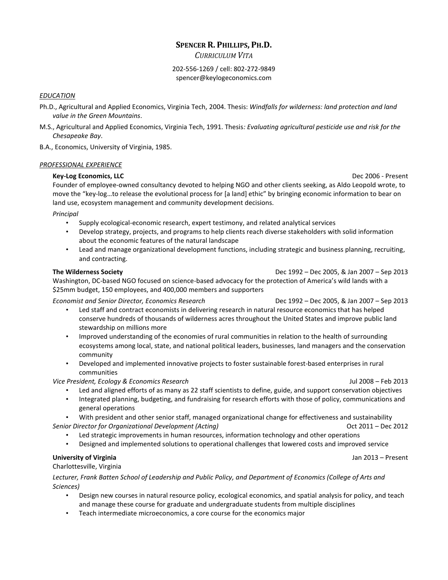### **SPENCER R. PHILLIPS, PH.D.**

*CURRICULUM VITA*

#### 202-556-1269 / cell: 802-272-9849 spencer@keylogeconomics.com

#### *EDUCATION*

- Ph.D., Agricultural and Applied Economics, Virginia Tech, 2004. Thesis: *Windfalls for wilderness: land protection and land value in the Green Mountains*.
- M.S., Agricultural and Applied Economics, Virginia Tech, 1991. Thesis*: Evaluating agricultural pesticide use and risk for the Chesapeake Bay*.

B.A., Economics, University of Virginia, 1985.

#### *PROFESSIONAL EXPERIENCE*

#### **Key-Log Economics, LLC** Dec 2006 - Present

Founder of employee-owned consultancy devoted to helping NGO and other clients seeking, as Aldo Leopold wrote, to move the "key-log…to release the evolutional process for [a land] ethic" by bringing economic information to bear on land use, ecosystem management and community development decisions.

#### *Principal*

- Supply ecological-economic research, expert testimony, and related analytical services
- Develop strategy, projects, and programs to help clients reach diverse stakeholders with solid information about the economic features of the natural landscape
- Lead and manage organizational development functions, including strategic and business planning, recruiting, and contracting.

**The Wilderness Society** Dec 1992 – Dec 2005, & Jan 2007 – Sep 2013

Washington, DC-based NGO focused on science-based advocacy for the protection of America's wild lands with a \$25mm budget, 150 employees, and 400,000 members and supporters

*Economist and Senior Director, Economics Research* Dec 1992 – Dec 2005, & Jan 2007 – Sep 2013

- Led staff and contract economists in delivering research in natural resource economics that has helped conserve hundreds of thousands of wilderness acres throughout the United States and improve public land stewardship on millions more
- Improved understanding of the economies of rural communities in relation to the health of surrounding ecosystems among local, state, and national political leaders, businesses, land managers and the conservation community
- Developed and implemented innovative projects to foster sustainable forest-based enterprises in rural communities

*Vice President, Ecology & Economics Research* Jul 2008 – Feb 2013

- Led and aligned efforts of as many as 22 staff scientists to define, guide, and support conservation objectives
- Integrated planning, budgeting, and fundraising for research efforts with those of policy, communications and general operations
- With president and other senior staff, managed organizational change for effectiveness and sustainability *Senior Director for Organizational Development (Acting)* Oct 2011 – Dec 2012
	- Led strategic improvements in human resources, information technology and other operations
	- Designed and implemented solutions to operational challenges that lowered costs and improved service

#### **University of Virginia** Jan 2013 – Present

Charlottesville, Virginia

*Lecturer, Frank Batten School of Leadership and Public Policy, and Department of Economics (College of Arts and Sciences)*

- Design new courses in natural resource policy, ecological economics, and spatial analysis for policy, and teach and manage these course for graduate and undergraduate students from multiple disciplines
- Teach intermediate microeconomics, a core course for the economics major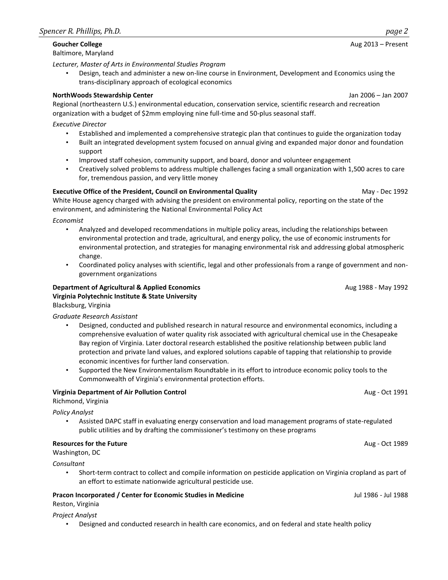# Baltimore, Maryland

*Lecturer, Master of Arts in Environmental Studies Program*

• Design, teach and administer a new on-line course in Environment, Development and Economics using the trans-disciplinary approach of ecological economics

#### **NorthWoods Stewardship Center** Jan 2006 – Jan 2007

Regional (northeastern U.S.) environmental education, conservation service, scientific research and recreation organization with a budget of \$2mm employing nine full-time and 50-plus seasonal staff.

*Executive Director*

- Established and implemented a comprehensive strategic plan that continues to guide the organization today
- Built an integrated development system focused on annual giving and expanded major donor and foundation support
- Improved staff cohesion, community support, and board, donor and volunteer engagement
- Creatively solved problems to address multiple challenges facing a small organization with 1,500 acres to care for, tremendous passion, and very little money

#### **Executive Office of the President, Council on Environmental Quality May - Dec 1992** May - Dec 1992

White House agency charged with advising the president on environmental policy, reporting on the state of the environment, and administering the National Environmental Policy Act

*Economist*

- Analyzed and developed recommendations in multiple policy areas, including the relationships between environmental protection and trade, agricultural, and energy policy, the use of economic instruments for environmental protection, and strategies for managing environmental risk and addressing global atmospheric change.
- Coordinated policy analyses with scientific, legal and other professionals from a range of government and nongovernment organizations

**Department of Agricultural & Applied Economics Aug 1988 - May 1992** Aug 1988 - May 1992 **Virginia Polytechnic Institute & State University** Blacksburg, Virginia

*Graduate Research Assistant*

- Designed, conducted and published research in natural resource and environmental economics, including a comprehensive evaluation of water quality risk associated with agricultural chemical use in the Chesapeake Bay region of Virginia. Later doctoral research established the positive relationship between public land protection and private land values, and explored solutions capable of tapping that relationship to provide economic incentives for further land conservation.
- Supported the New Environmentalism Roundtable in its effort to introduce economic policy tools to the Commonwealth of Virginia's environmental protection efforts.

#### **Virginia Department of Air Pollution Control** Aug - Oct 1991

Richmond, Virginia

*Policy Analyst*

• Assisted DAPC staff in evaluating energy conservation and load management programs of state-regulated public utilities and by drafting the commissioner's testimony on these programs

**Resources for the Future** August 2008 **Aug - Oct 1989 Aug - Oct 1989** 

Washington, DC

*Consultant*

• Short-term contract to collect and compile information on pesticide application on Virginia cropland as part of an effort to estimate nationwide agricultural pesticide use.

## **Pracon Incorporated / Center for Economic Studies in Medicine** Jul 1988 - Jul 1988 - Jul 1988

Reston, Virginia

*Project Analyst*

• Designed and conducted research in health care economics, and on federal and state health policy

**Goucher College** Aug 2013 – Present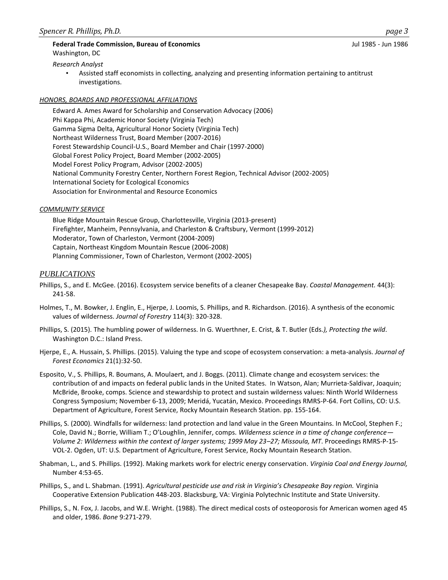### **Federal Trade Commission, Bureau of Economics** Jul 1985 - Jun 1986 Washington, DC

*Research Analyst* 

• Assisted staff economists in collecting, analyzing and presenting information pertaining to antitrust investigations.

#### *HONORS, BOARDS AND PROFESSIONAL AFFILIATIONS*

Edward A. Ames Award for Scholarship and Conservation Advocacy (2006) Phi Kappa Phi, Academic Honor Society (Virginia Tech) Gamma Sigma Delta, Agricultural Honor Society (Virginia Tech) Northeast Wilderness Trust, Board Member (2007-2016) Forest Stewardship Council-U.S., Board Member and Chair (1997-2000) Global Forest Policy Project, Board Member (2002-2005) Model Forest Policy Program, Advisor (2002-2005) National Community Forestry Center, Northern Forest Region, Technical Advisor (2002-2005) International Society for Ecological Economics Association for Environmental and Resource Economics

#### *COMMUNITY SERVICE*

Blue Ridge Mountain Rescue Group, Charlottesville, Virginia (2013-present) Firefighter, Manheim, Pennsylvania, and Charleston & Craftsbury, Vermont (1999-2012) Moderator, Town of Charleston, Vermont (2004-2009) Captain, Northeast Kingdom Mountain Rescue (2006-2008) Planning Commissioner, Town of Charleston, Vermont (2002-2005)

#### *PUBLICATIONS*

- Phillips, S., and E. McGee. (2016). Ecosystem service benefits of a cleaner Chesapeake Bay. *Coastal Management.* 44(3): 241-58.
- Holmes, T., M. Bowker, J. Englin, E., Hjerpe, J. Loomis, S. Phillips, and R. Richardson. (2016). A synthesis of the economic values of wilderness. *Journal of Forestry* 114(3): 320-328.
- Phillips, S. (2015). The humbling power of wilderness. In G. Wuerthner, E. Crist, & T. Butler (Eds*.), Protecting the wild*. Washington D.C.: Island Press.
- Hjerpe, E., A. Hussain, S. Phillips. (2015). Valuing the type and scope of ecosystem conservation: a meta-analysis. *Journal of Forest Economics* 21(1):32-50.
- Esposito, V., S. Phillips, R. Boumans, A. Moulaert, and J. Boggs. (2011). Climate change and ecosystem services: the contribution of and impacts on federal public lands in the United States. In Watson, Alan; Murrieta-Saldivar, Joaquin; McBride, Brooke, comps. Science and stewardship to protect and sustain wilderness values: Ninth World Wilderness Congress Symposium; November 6-13, 2009; Meridá, Yucatán, Mexico. Proceedings RMRS-P-64. Fort Collins, CO: U.S. Department of Agriculture, Forest Service, Rocky Mountain Research Station. pp. 155-164.
- Phillips, S. (2000). Windfalls for wilderness: land protection and land value in the Green Mountains. In McCool, Stephen F.; Cole, David N.; Borrie, William T.; O'Loughlin, Jennifer, comps. *Wilderness science in a time of change conference— Volume 2: Wilderness within the context of larger systems; 1999 May 23–27; Missoula, MT*. Proceedings RMRS-P-15- VOL-2. Ogden, UT: U.S. Department of Agriculture, Forest Service, Rocky Mountain Research Station.
- Shabman, L., and S. Phillips. (1992). Making markets work for electric energy conservation. *Virginia Coal and Energy Journal,* Number 4:53-65.
- Phillips, S., and L. Shabman. (1991). *Agricultural pesticide use and risk in Virginia's Chesapeake Bay region.* Virginia Cooperative Extension Publication 448-203. Blacksburg, VA: Virginia Polytechnic Institute and State University.
- Phillips, S., N. Fox, J. Jacobs, and W.E. Wright. (1988). The direct medical costs of osteoporosis for American women aged 45 and older, 1986. *Bone* 9:271-279.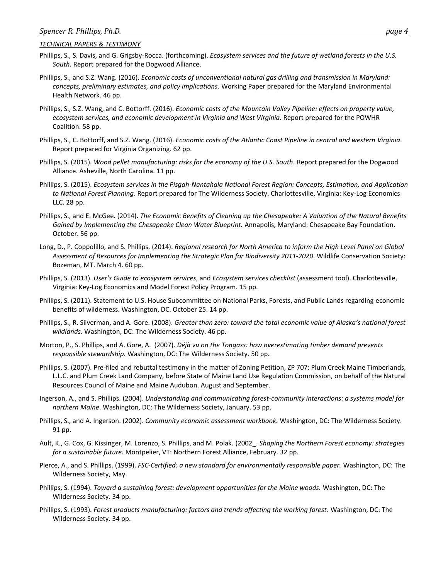#### *TECHNICAL PAPERS & TESTIMONY*

- Phillips, S., S. Davis, and G. Grigsby-Rocca. (forthcoming). *Ecosystem services and the future of wetland forests in the U.S. South*. Report prepared for the Dogwood Alliance.
- Phillips, S., and S.Z. Wang. (2016). *Economic costs of unconventional natural gas drilling and transmission in Maryland: concepts, preliminary estimates, and policy implications*. Working Paper prepared for the Maryland Environmental Health Network. 46 pp.
- Phillips, S., S.Z. Wang, and C. Bottorff. (2016). *Economic costs of the Mountain Valley Pipeline: effects on property value, ecosystem services, and economic development in Virginia and West Virginia*. Report prepared for the POWHR Coalition. 58 pp.
- Phillips, S., C. Bottorff, and S.Z. Wang. (2016). *Economic costs of the Atlantic Coast Pipeline in central and western Virginia*. Report prepared for Virginia Organizing. 62 pp.
- Phillips, S. (2015). *Wood pellet manufacturing: risks for the economy of the U.S. South.* Report prepared for the Dogwood Alliance. Asheville, North Carolina. 11 pp.
- Phillips, S. (2015). *Ecosystem services in the Pisgah-Nantahala National Forest Region: Concepts, Estimation, and Application to National Forest Planning*. Report prepared for The Wilderness Society. Charlottesville, Virginia: Key-Log Economics LLC. 28 pp.
- Phillips, S., and E. McGee. (2014). *The Economic Benefits of Cleaning up the Chesapeake: A Valuation of the Natural Benefits Gained by Implementing the Chesapeake Clean Water Blueprint.* Annapolis, Maryland: Chesapeake Bay Foundation. October. 56 pp.
- Long, D., P. Coppolillo, and S. Phillips. (2014). *Regional research for North America to inform the High Level Panel on Global Assessment of Resources for Implementing the Strategic Plan for Biodiversity 2011-2020*. Wildlife Conservation Society: Bozeman, MT. March 4. 60 pp.
- Phillips, S. (2013). *User's Guide to ecosystem services*, and *Ecosystem services checklist* (assessment tool). Charlottesville, Virginia: Key-Log Economics and Model Forest Policy Program. 15 pp.
- Phillips, S. (2011). Statement to U.S. House Subcommittee on National Parks, Forests, and Public Lands regarding economic benefits of wilderness. Washington, DC. October 25. 14 pp.
- Phillips, S., R. Silverman, and A. Gore. (2008). *Greater than zero: toward the total economic value of Alaska's national forest wildlands*. Washington, DC: The Wilderness Society. 46 pp.
- Morton, P., S. Phillips, and A. Gore, A. (2007). *Déjà vu on the Tongass: how overestimating timber demand prevents responsible stewardship.* Washington, DC: The Wilderness Society. 50 pp.
- Phillips, S. (2007). Pre-filed and rebuttal testimony in the matter of Zoning Petition, ZP 707: Plum Creek Maine Timberlands, L.L.C. and Plum Creek Land Company, before State of Maine Land Use Regulation Commission, on behalf of the Natural Resources Council of Maine and Maine Audubon. August and September.
- Ingerson, A., and S. Phillips. (2004). *Understanding and communicating forest-community interactions: a systems model for northern Maine*. Washington, DC: The Wilderness Society, January. 53 pp.
- Phillips, S., and A. Ingerson. (2002). *Community economic assessment workbook.* Washington, DC: The Wilderness Society. 91 pp.
- Ault, K., G. Cox, G. Kissinger, M. Lorenzo, S. Phillips, and M. Polak. (2002\_. *Shaping the Northern Forest economy: strategies for a sustainable future.* Montpelier, VT: Northern Forest Alliance, February. 32 pp.
- Pierce, A., and S. Phillips. (1999). *FSC-Certified: a new standard for environmentally responsible paper.* Washington, DC: The Wilderness Society, May.
- Phillips, S. (1994). *Toward a sustaining forest: development opportunities for the Maine woods.* Washington, DC: The Wilderness Society. 34 pp.
- Phillips, S. (1993). *Forest products manufacturing: factors and trends affecting the working forest.* Washington, DC: The Wilderness Society. 34 pp.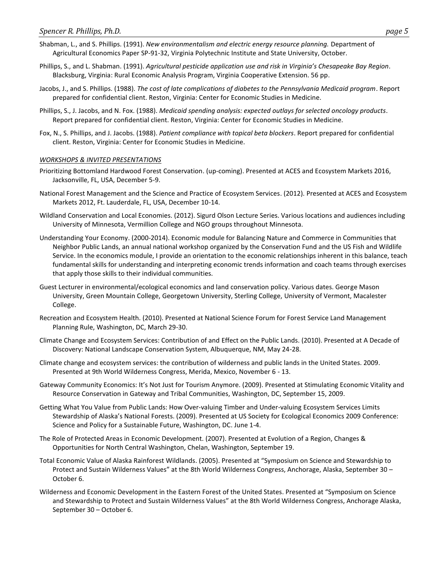- Shabman, L., and S. Phillips. (1991). *New environmentalism and electric energy resource planning.* Department of Agricultural Economics Paper SP-91-32, Virginia Polytechnic Institute and State University, October.
- Phillips, S., and L. Shabman. (1991). *Agricultural pesticide application use and risk in Virginia's Chesapeake Bay Region*. Blacksburg, Virginia: Rural Economic Analysis Program, Virginia Cooperative Extension. 56 pp.
- Jacobs, J., and S. Phillips. (1988). *The cost of late complications of diabetes to the Pennsylvania Medicaid program*. Report prepared for confidential client. Reston, Virginia: Center for Economic Studies in Medicine.
- Phillips, S., J. Jacobs, and N. Fox. (1988). *Medicaid spending analysis: expected outlays for selected oncology products*. Report prepared for confidential client. Reston, Virginia: Center for Economic Studies in Medicine.
- Fox, N., S. Phillips, and J. Jacobs. (1988). *Patient compliance with topical beta blockers*. Report prepared for confidential client. Reston, Virginia: Center for Economic Studies in Medicine.

#### *WORKSHOPS & INVITED PRESENTATIONS*

- Prioritizing Bottomland Hardwood Forest Conservation. (up-coming). Presented at ACES and Ecosystem Markets 2016, Jacksonville, FL, USA, December 5-9.
- National Forest Management and the Science and Practice of Ecosystem Services. (2012). Presented at ACES and Ecosystem Markets 2012, Ft. Lauderdale, FL, USA, December 10-14.
- Wildland Conservation and Local Economies. (2012). Sigurd Olson Lecture Series. Various locations and audiences including University of Minnesota, Vermillion College and NGO groups throughout Minnesota.
- Understanding Your Economy. (2000-2014). Economic module for Balancing Nature and Commerce in Communities that Neighbor Public Lands, an annual national workshop organized by the Conservation Fund and the US Fish and Wildlife Service. In the economics module, I provide an orientation to the economic relationships inherent in this balance, teach fundamental skills for understanding and interpreting economic trends information and coach teams through exercises that apply those skills to their individual communities.
- Guest Lecturer in environmental/ecological economics and land conservation policy. Various dates. George Mason University, Green Mountain College, Georgetown University, Sterling College, University of Vermont, Macalester College.
- Recreation and Ecosystem Health. (2010). Presented at National Science Forum for Forest Service Land Management Planning Rule, Washington, DC, March 29-30.
- Climate Change and Ecosystem Services: Contribution of and Effect on the Public Lands. (2010). Presented at A Decade of Discovery: National Landscape Conservation System, Albuquerque, NM, May 24-28.
- Climate change and ecosystem services: the contribution of wilderness and public lands in the United States. 2009. Presented at 9th World Wilderness Congress, Merida, Mexico, November 6 - 13.
- Gateway Community Economics: It's Not Just for Tourism Anymore. (2009). Presented at Stimulating Economic Vitality and Resource Conservation in Gateway and Tribal Communities, Washington, DC, September 15, 2009.
- Getting What You Value from Public Lands: How Over-valuing Timber and Under-valuing Ecosystem Services Limits Stewardship of Alaska's National Forests. (2009). Presented at US Society for Ecological Economics 2009 Conference: Science and Policy for a Sustainable Future, Washington, DC. June 1-4.
- The Role of Protected Areas in Economic Development. (2007). Presented at Evolution of a Region, Changes & Opportunities for North Central Washington, Chelan, Washington, September 19.
- Total Economic Value of Alaska Rainforest Wildlands. (2005). Presented at "Symposium on Science and Stewardship to Protect and Sustain Wilderness Values" at the 8th World Wilderness Congress, Anchorage, Alaska, September 30 – October 6.
- Wilderness and Economic Development in the Eastern Forest of the United States. Presented at "Symposium on Science and Stewardship to Protect and Sustain Wilderness Values" at the 8th World Wilderness Congress, Anchorage Alaska, September 30 – October 6.